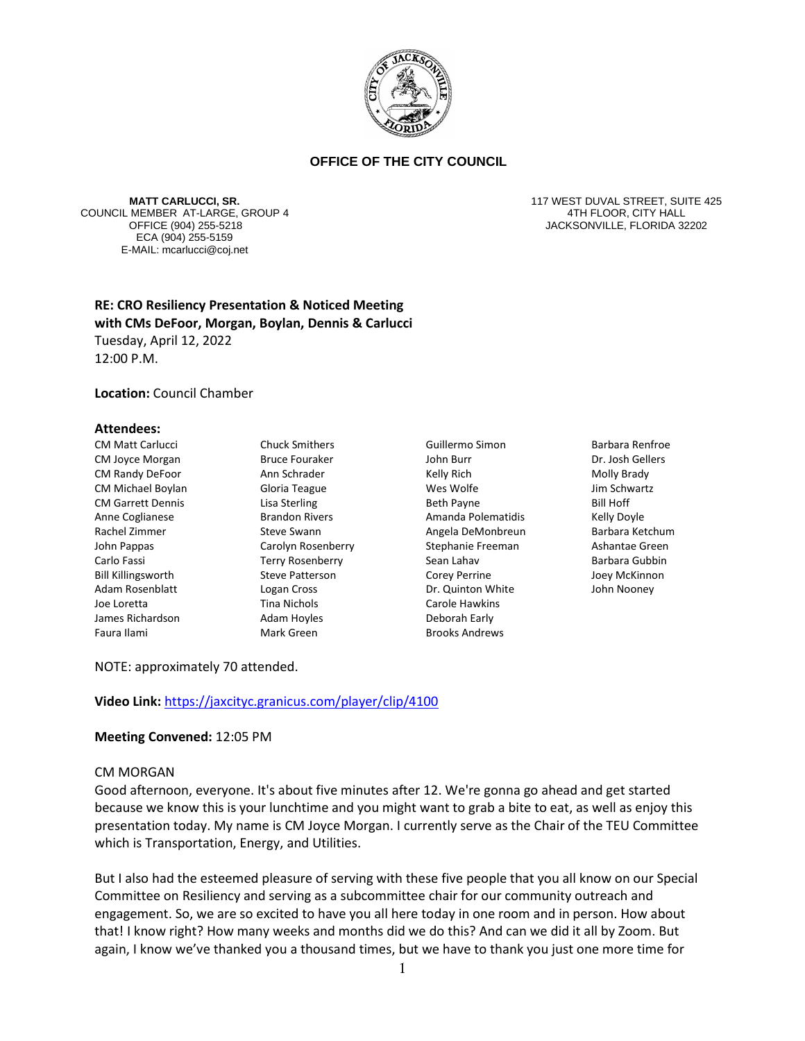

**MATT CARLUCCI, SR.** COUNCIL MEMBER AT-LARGE, GROUP 4 ECA (904) 255-5159 E-MAIL: mcarlucci@coj.net

117 WEST DUVAL STREET, SUITE 425 4TH FLOOR, CITY HALL OFFICE (904) 255-5218 JACKSONVILLE, FLORIDA 32202

# **RE: CRO Resiliency Presentation & Noticed Meeting with CMs DeFoor, Morgan, Boylan, Dennis & Carlucci** Tuesday, April 12, 2022 12:00 P.M.

#### **Location:** Council Chamber

#### **Attendees:**

CM Matt Carlucci CM Joyce Morgan CM Randy DeFoor CM Michael Boylan CM Garrett Dennis Anne Coglianese Rachel Zimmer John Pappas Carlo Fassi Bill Killingsworth Adam Rosenblatt Joe Loretta James Richardson Faura Ilami

Chuck Smithers Bruce Fouraker Ann Schrader Gloria Teague Lisa Sterling Brandon Rivers Steve Swann Carolyn Rosenberry Terry Rosenberry Steve Patterson Logan Cross Tina Nichols Adam Hoyles Mark Green

- Guillermo Simon John Burr Kelly Rich Wes Wolfe Beth Payne Amanda Polematidis Angela DeMonbreun Stephanie Freeman Sean Lahav Corey Perrine Dr. Quinton White Carole Hawkins Deborah Early Brooks Andrews
- Barbara Renfroe Dr. Josh Gellers Molly Brady Jim Schwartz Bill Hoff Kelly Doyle Barbara Ketchum Ashantae Green Barbara Gubbin Joey McKinnon John Nooney

NOTE: approximately 70 attended.

**Video Link:** <https://jaxcityc.granicus.com/player/clip/4100>

### **Meeting Convened:** 12:05 PM

#### CM MORGAN

Good afternoon, everyone. It's about five minutes after 12. We're gonna go ahead and get started because we know this is your lunchtime and you might want to grab a bite to eat, as well as enjoy this presentation today. My name is CM Joyce Morgan. I currently serve as the Chair of the TEU Committee which is Transportation, Energy, and Utilities.

But I also had the esteemed pleasure of serving with these five people that you all know on our Special Committee on Resiliency and serving as a subcommittee chair for our community outreach and engagement. So, we are so excited to have you all here today in one room and in person. How about that! I know right? How many weeks and months did we do this? And can we did it all by Zoom. But again, I know we've thanked you a thousand times, but we have to thank you just one more time for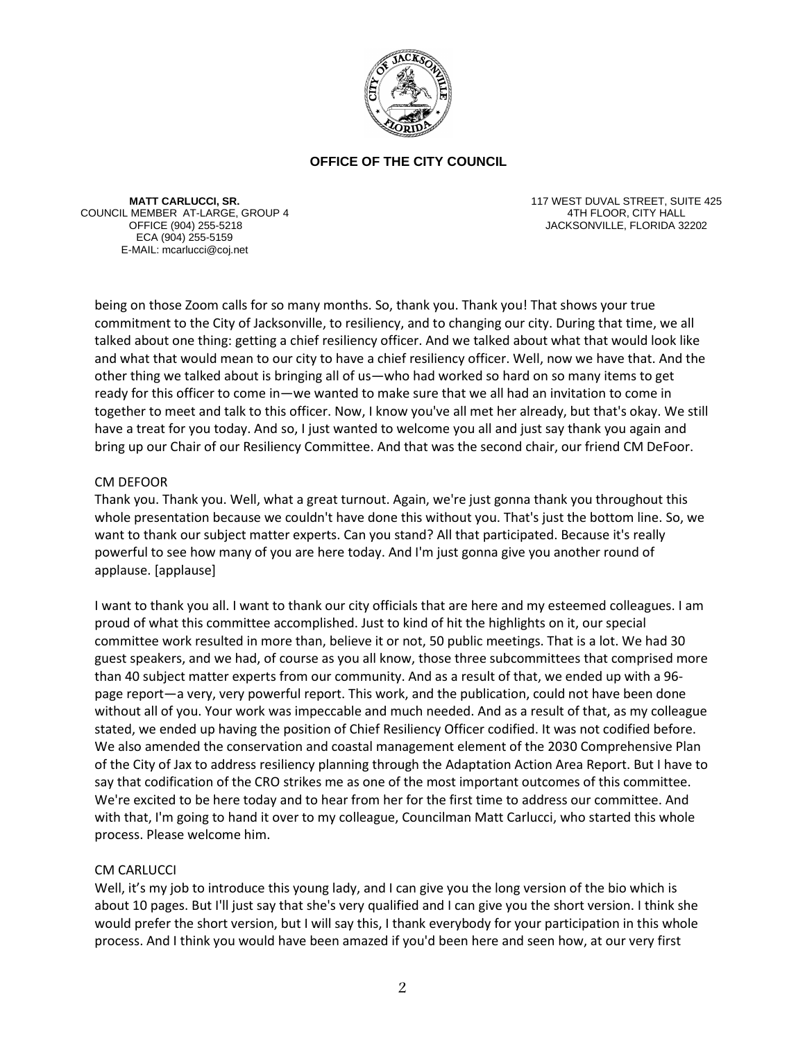

**MATT CARLUCCI, SR.** COUNCIL MEMBER AT-LARGE, GROUP 4 ECA (904) 255-5159 E-MAIL: mcarlucci@coj.net

117 WEST DUVAL STREET, SUITE 425 4TH FLOOR, CITY HALL OFFICE (904) 255-5218 JACKSONVILLE, FLORIDA 32202

being on those Zoom calls for so many months. So, thank you. Thank you! That shows your true commitment to the City of Jacksonville, to resiliency, and to changing our city. During that time, we all talked about one thing: getting a chief resiliency officer. And we talked about what that would look like and what that would mean to our city to have a chief resiliency officer. Well, now we have that. And the other thing we talked about is bringing all of us—who had worked so hard on so many items to get ready for this officer to come in—we wanted to make sure that we all had an invitation to come in together to meet and talk to this officer. Now, I know you've all met her already, but that's okay. We still have a treat for you today. And so, I just wanted to welcome you all and just say thank you again and bring up our Chair of our Resiliency Committee. And that was the second chair, our friend CM DeFoor.

## CM DEFOOR

Thank you. Thank you. Well, what a great turnout. Again, we're just gonna thank you throughout this whole presentation because we couldn't have done this without you. That's just the bottom line. So, we want to thank our subject matter experts. Can you stand? All that participated. Because it's really powerful to see how many of you are here today. And I'm just gonna give you another round of applause. [applause]

I want to thank you all. I want to thank our city officials that are here and my esteemed colleagues. I am proud of what this committee accomplished. Just to kind of hit the highlights on it, our special committee work resulted in more than, believe it or not, 50 public meetings. That is a lot. We had 30 guest speakers, and we had, of course as you all know, those three subcommittees that comprised more than 40 subject matter experts from our community. And as a result of that, we ended up with a 96 page report—a very, very powerful report. This work, and the publication, could not have been done without all of you. Your work was impeccable and much needed. And as a result of that, as my colleague stated, we ended up having the position of Chief Resiliency Officer codified. It was not codified before. We also amended the conservation and coastal management element of the 2030 Comprehensive Plan of the City of Jax to address resiliency planning through the Adaptation Action Area Report. But I have to say that codification of the CRO strikes me as one of the most important outcomes of this committee. We're excited to be here today and to hear from her for the first time to address our committee. And with that, I'm going to hand it over to my colleague, Councilman Matt Carlucci, who started this whole process. Please welcome him.

# CM CARLUCCI

Well, it's my job to introduce this young lady, and I can give you the long version of the bio which is about 10 pages. But I'll just say that she's very qualified and I can give you the short version. I think she would prefer the short version, but I will say this, I thank everybody for your participation in this whole process. And I think you would have been amazed if you'd been here and seen how, at our very first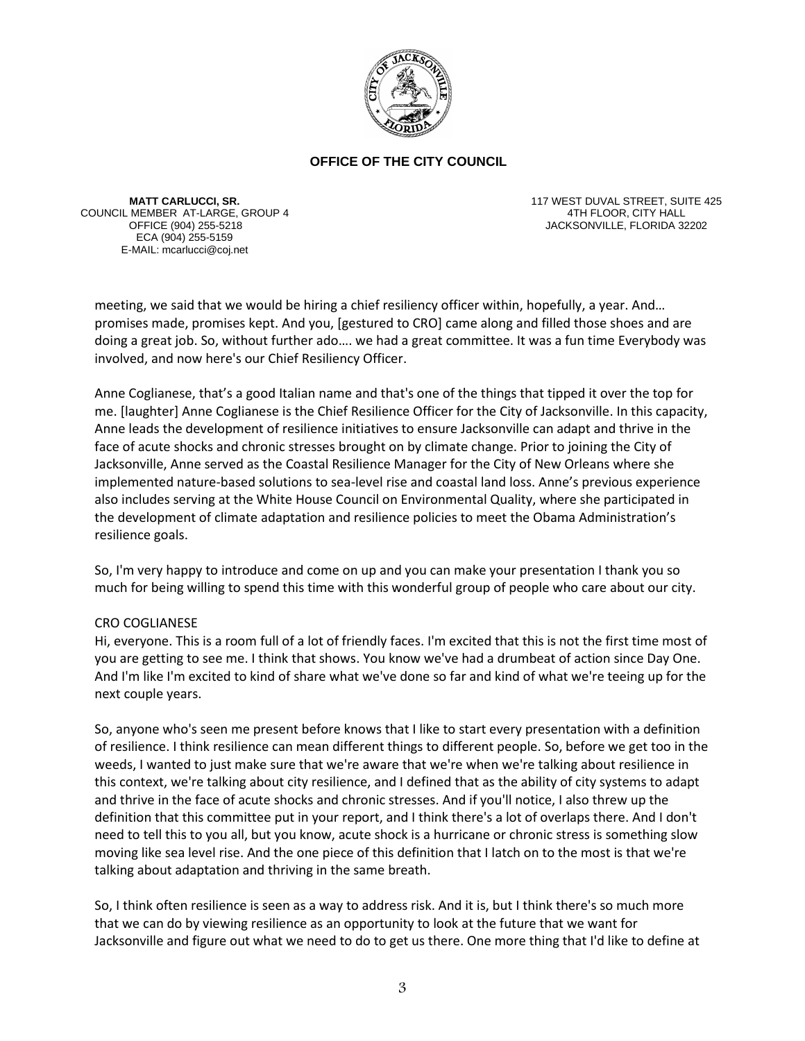

**MATT CARLUCCI, SR.** COUNCIL MEMBER AT-LARGE, GROUP 4 ECA (904) 255-5159 E-MAIL: mcarlucci@coj.net

117 WEST DUVAL STREET, SUITE 425 4TH FLOOR, CITY HALL JACKSONVILLE, FLORIDA 32202

meeting, we said that we would be hiring a chief resiliency officer within, hopefully, a year. And… promises made, promises kept. And you, [gestured to CRO] came along and filled those shoes and are doing a great job. So, without further ado…. we had a great committee. It was a fun time Everybody was involved, and now here's our Chief Resiliency Officer.

Anne Coglianese, that's a good Italian name and that's one of the things that tipped it over the top for me. [laughter] Anne Coglianese is the Chief Resilience Officer for the City of Jacksonville. In this capacity, Anne leads the development of resilience initiatives to ensure Jacksonville can adapt and thrive in the face of acute shocks and chronic stresses brought on by climate change. Prior to joining the City of Jacksonville, Anne served as the Coastal Resilience Manager for the City of New Orleans where she implemented nature-based solutions to sea-level rise and coastal land loss. Anne's previous experience also includes serving at the White House Council on Environmental Quality, where she participated in the development of climate adaptation and resilience policies to meet the Obama Administration's resilience goals.

So, I'm very happy to introduce and come on up and you can make your presentation I thank you so much for being willing to spend this time with this wonderful group of people who care about our city.

### CRO COGLIANESE

Hi, everyone. This is a room full of a lot of friendly faces. I'm excited that this is not the first time most of you are getting to see me. I think that shows. You know we've had a drumbeat of action since Day One. And I'm like I'm excited to kind of share what we've done so far and kind of what we're teeing up for the next couple years.

So, anyone who's seen me present before knows that I like to start every presentation with a definition of resilience. I think resilience can mean different things to different people. So, before we get too in the weeds, I wanted to just make sure that we're aware that we're when we're talking about resilience in this context, we're talking about city resilience, and I defined that as the ability of city systems to adapt and thrive in the face of acute shocks and chronic stresses. And if you'll notice, I also threw up the definition that this committee put in your report, and I think there's a lot of overlaps there. And I don't need to tell this to you all, but you know, acute shock is a hurricane or chronic stress is something slow moving like sea level rise. And the one piece of this definition that I latch on to the most is that we're talking about adaptation and thriving in the same breath.

So, I think often resilience is seen as a way to address risk. And it is, but I think there's so much more that we can do by viewing resilience as an opportunity to look at the future that we want for Jacksonville and figure out what we need to do to get us there. One more thing that I'd like to define at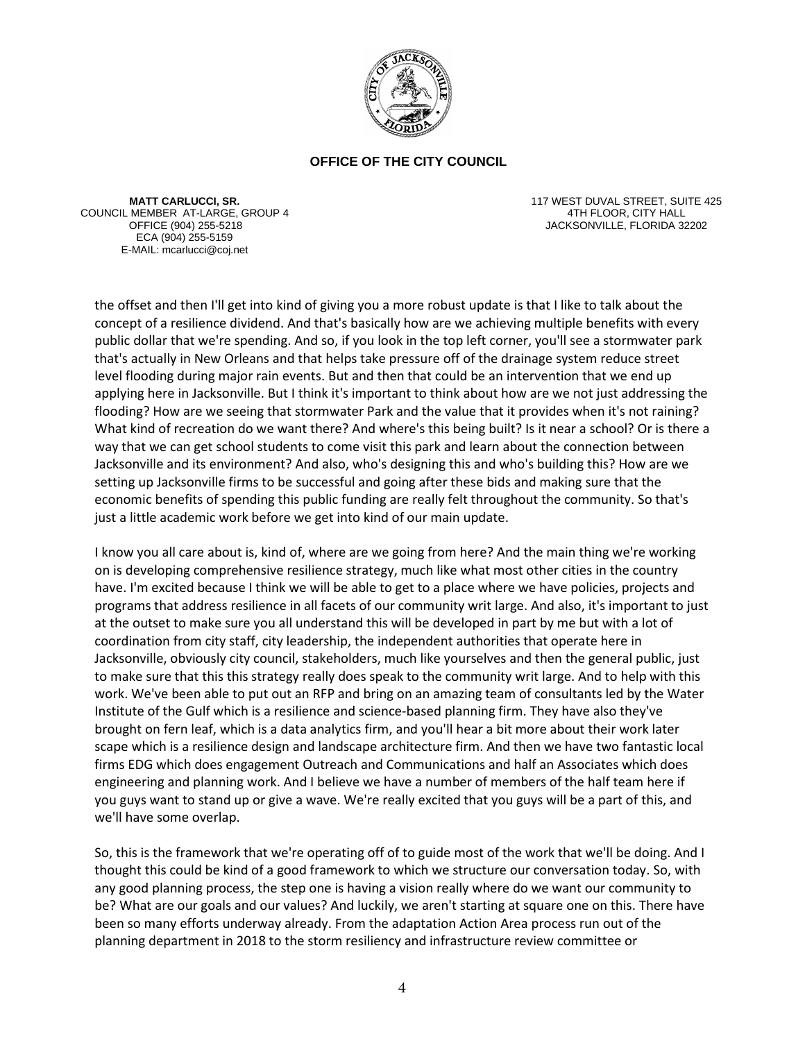

**MATT CARLUCCI, SR.** COUNCIL MEMBER AT-LARGE, GROUP 4 ECA (904) 255-5159 E-MAIL: mcarlucci@coj.net

117 WEST DUVAL STREET, SUITE 425 4TH FLOOR, CITY HALL JACKSONVILLE, FLORIDA 32202

the offset and then I'll get into kind of giving you a more robust update is that I like to talk about the concept of a resilience dividend. And that's basically how are we achieving multiple benefits with every public dollar that we're spending. And so, if you look in the top left corner, you'll see a stormwater park that's actually in New Orleans and that helps take pressure off of the drainage system reduce street level flooding during major rain events. But and then that could be an intervention that we end up applying here in Jacksonville. But I think it's important to think about how are we not just addressing the flooding? How are we seeing that stormwater Park and the value that it provides when it's not raining? What kind of recreation do we want there? And where's this being built? Is it near a school? Or is there a way that we can get school students to come visit this park and learn about the connection between Jacksonville and its environment? And also, who's designing this and who's building this? How are we setting up Jacksonville firms to be successful and going after these bids and making sure that the economic benefits of spending this public funding are really felt throughout the community. So that's just a little academic work before we get into kind of our main update.

I know you all care about is, kind of, where are we going from here? And the main thing we're working on is developing comprehensive resilience strategy, much like what most other cities in the country have. I'm excited because I think we will be able to get to a place where we have policies, projects and programs that address resilience in all facets of our community writ large. And also, it's important to just at the outset to make sure you all understand this will be developed in part by me but with a lot of coordination from city staff, city leadership, the independent authorities that operate here in Jacksonville, obviously city council, stakeholders, much like yourselves and then the general public, just to make sure that this this strategy really does speak to the community writ large. And to help with this work. We've been able to put out an RFP and bring on an amazing team of consultants led by the Water Institute of the Gulf which is a resilience and science-based planning firm. They have also they've brought on fern leaf, which is a data analytics firm, and you'll hear a bit more about their work later scape which is a resilience design and landscape architecture firm. And then we have two fantastic local firms EDG which does engagement Outreach and Communications and half an Associates which does engineering and planning work. And I believe we have a number of members of the half team here if you guys want to stand up or give a wave. We're really excited that you guys will be a part of this, and we'll have some overlap.

So, this is the framework that we're operating off of to guide most of the work that we'll be doing. And I thought this could be kind of a good framework to which we structure our conversation today. So, with any good planning process, the step one is having a vision really where do we want our community to be? What are our goals and our values? And luckily, we aren't starting at square one on this. There have been so many efforts underway already. From the adaptation Action Area process run out of the planning department in 2018 to the storm resiliency and infrastructure review committee or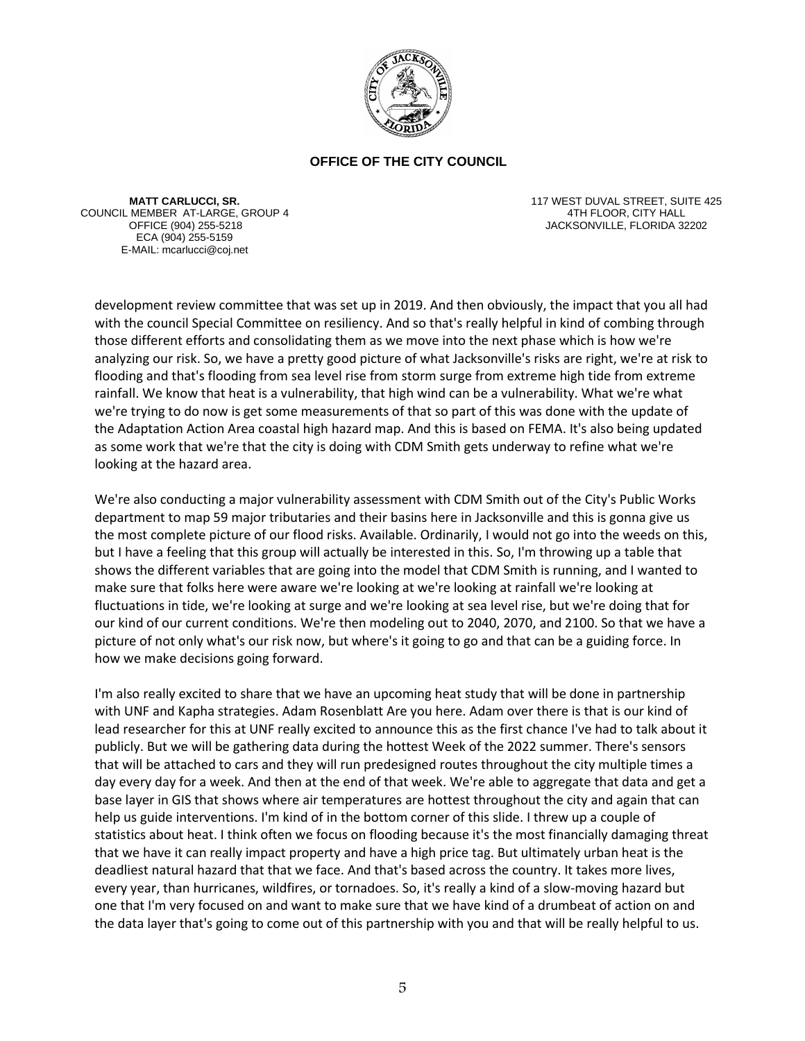

**MATT CARLUCCI, SR.** COUNCIL MEMBER AT-LARGE, GROUP 4 ECA (904) 255-5159 E-MAIL: mcarlucci@coj.net

117 WEST DUVAL STREET, SUITE 425 4TH FLOOR, CITY HALL JACKSONVILLE, FLORIDA 32202

development review committee that was set up in 2019. And then obviously, the impact that you all had with the council Special Committee on resiliency. And so that's really helpful in kind of combing through those different efforts and consolidating them as we move into the next phase which is how we're analyzing our risk. So, we have a pretty good picture of what Jacksonville's risks are right, we're at risk to flooding and that's flooding from sea level rise from storm surge from extreme high tide from extreme rainfall. We know that heat is a vulnerability, that high wind can be a vulnerability. What we're what we're trying to do now is get some measurements of that so part of this was done with the update of the Adaptation Action Area coastal high hazard map. And this is based on FEMA. It's also being updated as some work that we're that the city is doing with CDM Smith gets underway to refine what we're looking at the hazard area.

We're also conducting a major vulnerability assessment with CDM Smith out of the City's Public Works department to map 59 major tributaries and their basins here in Jacksonville and this is gonna give us the most complete picture of our flood risks. Available. Ordinarily, I would not go into the weeds on this, but I have a feeling that this group will actually be interested in this. So, I'm throwing up a table that shows the different variables that are going into the model that CDM Smith is running, and I wanted to make sure that folks here were aware we're looking at we're looking at rainfall we're looking at fluctuations in tide, we're looking at surge and we're looking at sea level rise, but we're doing that for our kind of our current conditions. We're then modeling out to 2040, 2070, and 2100. So that we have a picture of not only what's our risk now, but where's it going to go and that can be a guiding force. In how we make decisions going forward.

I'm also really excited to share that we have an upcoming heat study that will be done in partnership with UNF and Kapha strategies. Adam Rosenblatt Are you here. Adam over there is that is our kind of lead researcher for this at UNF really excited to announce this as the first chance I've had to talk about it publicly. But we will be gathering data during the hottest Week of the 2022 summer. There's sensors that will be attached to cars and they will run predesigned routes throughout the city multiple times a day every day for a week. And then at the end of that week. We're able to aggregate that data and get a base layer in GIS that shows where air temperatures are hottest throughout the city and again that can help us guide interventions. I'm kind of in the bottom corner of this slide. I threw up a couple of statistics about heat. I think often we focus on flooding because it's the most financially damaging threat that we have it can really impact property and have a high price tag. But ultimately urban heat is the deadliest natural hazard that that we face. And that's based across the country. It takes more lives, every year, than hurricanes, wildfires, or tornadoes. So, it's really a kind of a slow-moving hazard but one that I'm very focused on and want to make sure that we have kind of a drumbeat of action on and the data layer that's going to come out of this partnership with you and that will be really helpful to us.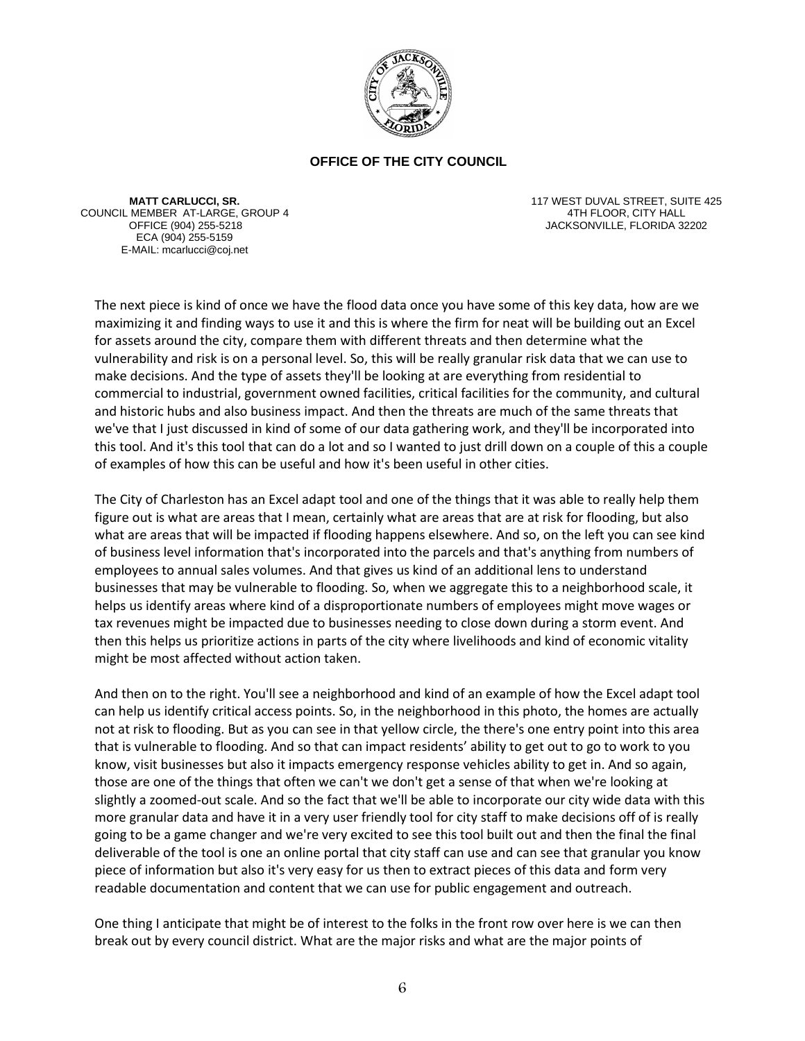

**MATT CARLUCCI, SR.** COUNCIL MEMBER AT-LARGE, GROUP 4 ECA (904) 255-5159 E-MAIL: mcarlucci@coj.net

117 WEST DUVAL STREET, SUITE 425 4TH FLOOR, CITY HALL JACKSONVILLE, FLORIDA 32202

The next piece is kind of once we have the flood data once you have some of this key data, how are we maximizing it and finding ways to use it and this is where the firm for neat will be building out an Excel for assets around the city, compare them with different threats and then determine what the vulnerability and risk is on a personal level. So, this will be really granular risk data that we can use to make decisions. And the type of assets they'll be looking at are everything from residential to commercial to industrial, government owned facilities, critical facilities for the community, and cultural and historic hubs and also business impact. And then the threats are much of the same threats that we've that I just discussed in kind of some of our data gathering work, and they'll be incorporated into this tool. And it's this tool that can do a lot and so I wanted to just drill down on a couple of this a couple of examples of how this can be useful and how it's been useful in other cities.

The City of Charleston has an Excel adapt tool and one of the things that it was able to really help them figure out is what are areas that I mean, certainly what are areas that are at risk for flooding, but also what are areas that will be impacted if flooding happens elsewhere. And so, on the left you can see kind of business level information that's incorporated into the parcels and that's anything from numbers of employees to annual sales volumes. And that gives us kind of an additional lens to understand businesses that may be vulnerable to flooding. So, when we aggregate this to a neighborhood scale, it helps us identify areas where kind of a disproportionate numbers of employees might move wages or tax revenues might be impacted due to businesses needing to close down during a storm event. And then this helps us prioritize actions in parts of the city where livelihoods and kind of economic vitality might be most affected without action taken.

And then on to the right. You'll see a neighborhood and kind of an example of how the Excel adapt tool can help us identify critical access points. So, in the neighborhood in this photo, the homes are actually not at risk to flooding. But as you can see in that yellow circle, the there's one entry point into this area that is vulnerable to flooding. And so that can impact residents' ability to get out to go to work to you know, visit businesses but also it impacts emergency response vehicles ability to get in. And so again, those are one of the things that often we can't we don't get a sense of that when we're looking at slightly a zoomed-out scale. And so the fact that we'll be able to incorporate our city wide data with this more granular data and have it in a very user friendly tool for city staff to make decisions off of is really going to be a game changer and we're very excited to see this tool built out and then the final the final deliverable of the tool is one an online portal that city staff can use and can see that granular you know piece of information but also it's very easy for us then to extract pieces of this data and form very readable documentation and content that we can use for public engagement and outreach.

One thing I anticipate that might be of interest to the folks in the front row over here is we can then break out by every council district. What are the major risks and what are the major points of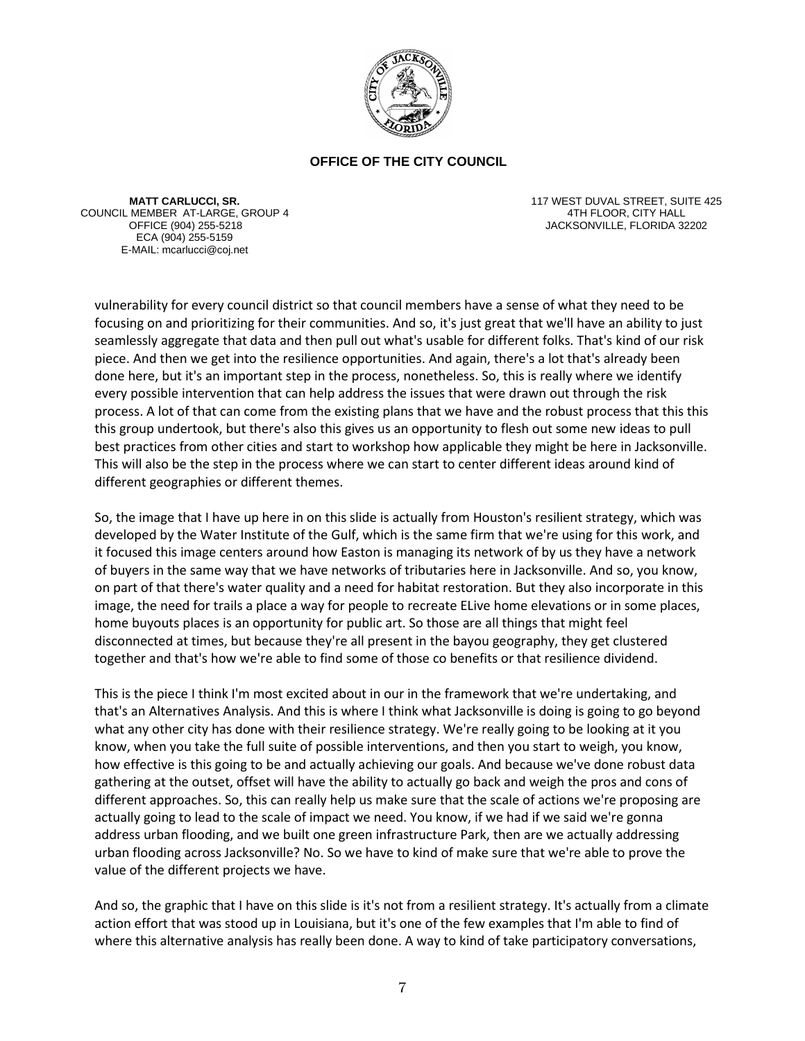

**MATT CARLUCCI, SR.** COUNCIL MEMBER AT-LARGE, GROUP 4 ECA (904) 255-5159 E-MAIL: mcarlucci@coj.net

117 WEST DUVAL STREET, SUITE 425 4TH FLOOR, CITY HALL JACKSONVILLE, FLORIDA 32202

vulnerability for every council district so that council members have a sense of what they need to be focusing on and prioritizing for their communities. And so, it's just great that we'll have an ability to just seamlessly aggregate that data and then pull out what's usable for different folks. That's kind of our risk piece. And then we get into the resilience opportunities. And again, there's a lot that's already been done here, but it's an important step in the process, nonetheless. So, this is really where we identify every possible intervention that can help address the issues that were drawn out through the risk process. A lot of that can come from the existing plans that we have and the robust process that this this this group undertook, but there's also this gives us an opportunity to flesh out some new ideas to pull best practices from other cities and start to workshop how applicable they might be here in Jacksonville. This will also be the step in the process where we can start to center different ideas around kind of different geographies or different themes.

So, the image that I have up here in on this slide is actually from Houston's resilient strategy, which was developed by the Water Institute of the Gulf, which is the same firm that we're using for this work, and it focused this image centers around how Easton is managing its network of by us they have a network of buyers in the same way that we have networks of tributaries here in Jacksonville. And so, you know, on part of that there's water quality and a need for habitat restoration. But they also incorporate in this image, the need for trails a place a way for people to recreate ELive home elevations or in some places, home buyouts places is an opportunity for public art. So those are all things that might feel disconnected at times, but because they're all present in the bayou geography, they get clustered together and that's how we're able to find some of those co benefits or that resilience dividend.

This is the piece I think I'm most excited about in our in the framework that we're undertaking, and that's an Alternatives Analysis. And this is where I think what Jacksonville is doing is going to go beyond what any other city has done with their resilience strategy. We're really going to be looking at it you know, when you take the full suite of possible interventions, and then you start to weigh, you know, how effective is this going to be and actually achieving our goals. And because we've done robust data gathering at the outset, offset will have the ability to actually go back and weigh the pros and cons of different approaches. So, this can really help us make sure that the scale of actions we're proposing are actually going to lead to the scale of impact we need. You know, if we had if we said we're gonna address urban flooding, and we built one green infrastructure Park, then are we actually addressing urban flooding across Jacksonville? No. So we have to kind of make sure that we're able to prove the value of the different projects we have.

And so, the graphic that I have on this slide is it's not from a resilient strategy. It's actually from a climate action effort that was stood up in Louisiana, but it's one of the few examples that I'm able to find of where this alternative analysis has really been done. A way to kind of take participatory conversations,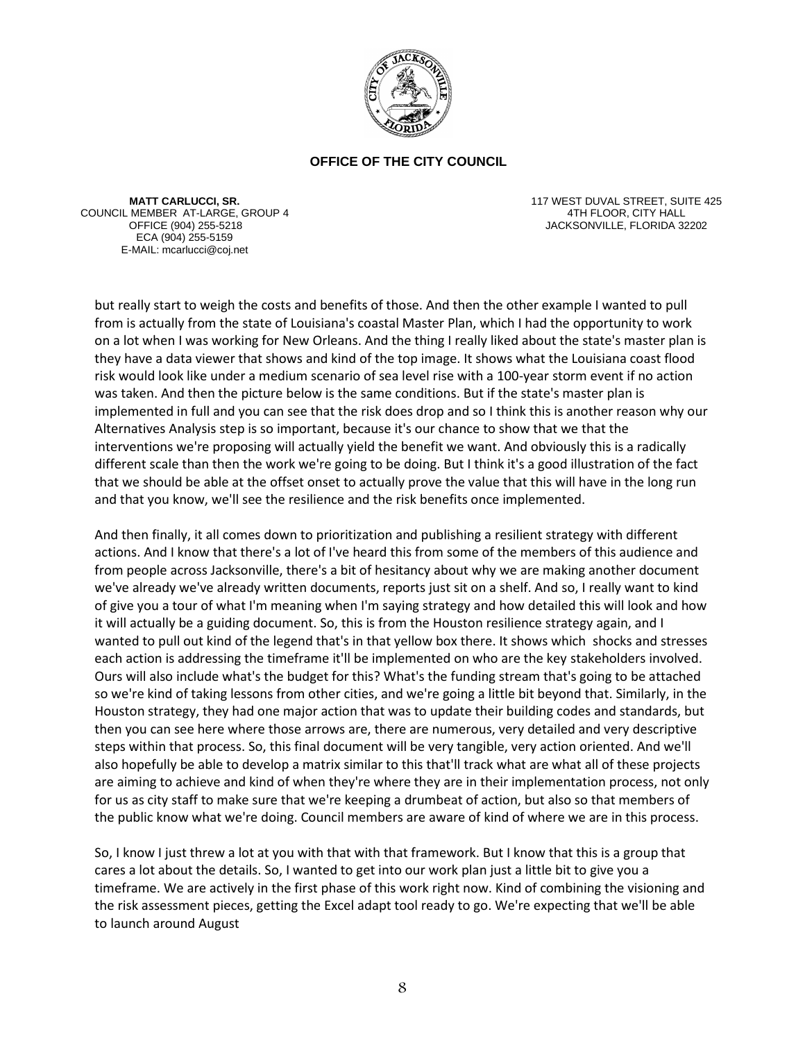

**MATT CARLUCCI, SR.** COUNCIL MEMBER AT-LARGE, GROUP 4 ECA (904) 255-5159 E-MAIL: mcarlucci@coj.net

117 WEST DUVAL STREET, SUITE 425 4TH FLOOR, CITY HALL OFFICE (904) 255-5218 JACKSONVILLE, FLORIDA 32202

but really start to weigh the costs and benefits of those. And then the other example I wanted to pull from is actually from the state of Louisiana's coastal Master Plan, which I had the opportunity to work on a lot when I was working for New Orleans. And the thing I really liked about the state's master plan is they have a data viewer that shows and kind of the top image. It shows what the Louisiana coast flood risk would look like under a medium scenario of sea level rise with a 100-year storm event if no action was taken. And then the picture below is the same conditions. But if the state's master plan is implemented in full and you can see that the risk does drop and so I think this is another reason why our Alternatives Analysis step is so important, because it's our chance to show that we that the interventions we're proposing will actually yield the benefit we want. And obviously this is a radically different scale than then the work we're going to be doing. But I think it's a good illustration of the fact that we should be able at the offset onset to actually prove the value that this will have in the long run and that you know, we'll see the resilience and the risk benefits once implemented.

And then finally, it all comes down to prioritization and publishing a resilient strategy with different actions. And I know that there's a lot of I've heard this from some of the members of this audience and from people across Jacksonville, there's a bit of hesitancy about why we are making another document we've already we've already written documents, reports just sit on a shelf. And so, I really want to kind of give you a tour of what I'm meaning when I'm saying strategy and how detailed this will look and how it will actually be a guiding document. So, this is from the Houston resilience strategy again, and I wanted to pull out kind of the legend that's in that yellow box there. It shows which shocks and stresses each action is addressing the timeframe it'll be implemented on who are the key stakeholders involved. Ours will also include what's the budget for this? What's the funding stream that's going to be attached so we're kind of taking lessons from other cities, and we're going a little bit beyond that. Similarly, in the Houston strategy, they had one major action that was to update their building codes and standards, but then you can see here where those arrows are, there are numerous, very detailed and very descriptive steps within that process. So, this final document will be very tangible, very action oriented. And we'll also hopefully be able to develop a matrix similar to this that'll track what are what all of these projects are aiming to achieve and kind of when they're where they are in their implementation process, not only for us as city staff to make sure that we're keeping a drumbeat of action, but also so that members of the public know what we're doing. Council members are aware of kind of where we are in this process.

So, I know I just threw a lot at you with that with that framework. But I know that this is a group that cares a lot about the details. So, I wanted to get into our work plan just a little bit to give you a timeframe. We are actively in the first phase of this work right now. Kind of combining the visioning and the risk assessment pieces, getting the Excel adapt tool ready to go. We're expecting that we'll be able to launch around August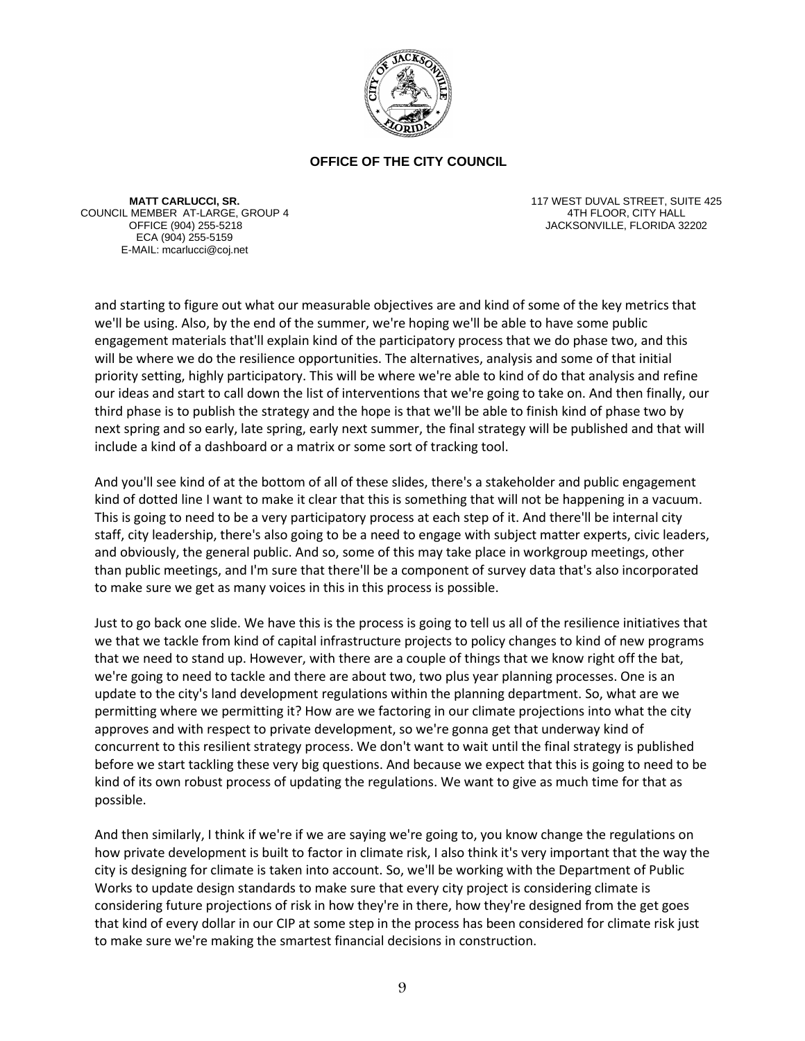

**MATT CARLUCCI, SR.** COUNCIL MEMBER AT-LARGE, GROUP 4 ECA (904) 255-5159 E-MAIL: mcarlucci@coj.net

117 WEST DUVAL STREET, SUITE 425 4TH FLOOR, CITY HALL JACKSONVILLE, FLORIDA 32202

and starting to figure out what our measurable objectives are and kind of some of the key metrics that we'll be using. Also, by the end of the summer, we're hoping we'll be able to have some public engagement materials that'll explain kind of the participatory process that we do phase two, and this will be where we do the resilience opportunities. The alternatives, analysis and some of that initial priority setting, highly participatory. This will be where we're able to kind of do that analysis and refine our ideas and start to call down the list of interventions that we're going to take on. And then finally, our third phase is to publish the strategy and the hope is that we'll be able to finish kind of phase two by next spring and so early, late spring, early next summer, the final strategy will be published and that will include a kind of a dashboard or a matrix or some sort of tracking tool.

And you'll see kind of at the bottom of all of these slides, there's a stakeholder and public engagement kind of dotted line I want to make it clear that this is something that will not be happening in a vacuum. This is going to need to be a very participatory process at each step of it. And there'll be internal city staff, city leadership, there's also going to be a need to engage with subject matter experts, civic leaders, and obviously, the general public. And so, some of this may take place in workgroup meetings, other than public meetings, and I'm sure that there'll be a component of survey data that's also incorporated to make sure we get as many voices in this in this process is possible.

Just to go back one slide. We have this is the process is going to tell us all of the resilience initiatives that we that we tackle from kind of capital infrastructure projects to policy changes to kind of new programs that we need to stand up. However, with there are a couple of things that we know right off the bat, we're going to need to tackle and there are about two, two plus year planning processes. One is an update to the city's land development regulations within the planning department. So, what are we permitting where we permitting it? How are we factoring in our climate projections into what the city approves and with respect to private development, so we're gonna get that underway kind of concurrent to this resilient strategy process. We don't want to wait until the final strategy is published before we start tackling these very big questions. And because we expect that this is going to need to be kind of its own robust process of updating the regulations. We want to give as much time for that as possible.

And then similarly, I think if we're if we are saying we're going to, you know change the regulations on how private development is built to factor in climate risk, I also think it's very important that the way the city is designing for climate is taken into account. So, we'll be working with the Department of Public Works to update design standards to make sure that every city project is considering climate is considering future projections of risk in how they're in there, how they're designed from the get goes that kind of every dollar in our CIP at some step in the process has been considered for climate risk just to make sure we're making the smartest financial decisions in construction.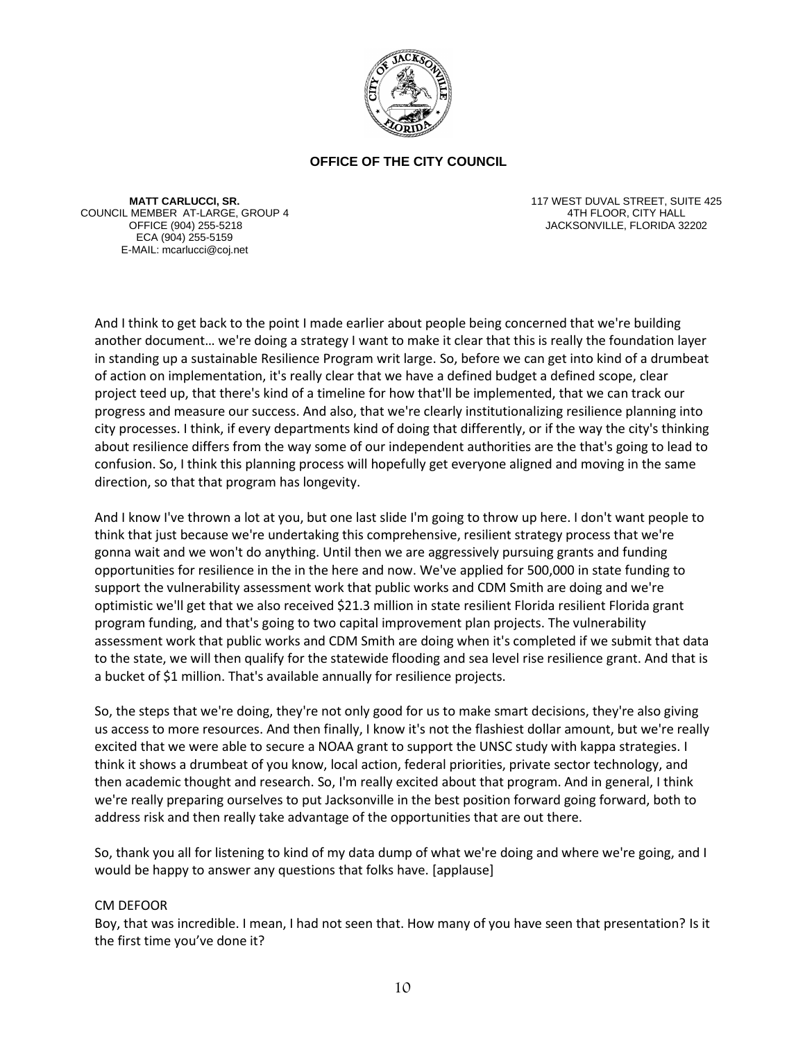

**MATT CARLUCCI, SR.** COUNCIL MEMBER AT-LARGE, GROUP 4 ECA (904) 255-5159 E-MAIL: mcarlucci@coj.net

117 WEST DUVAL STREET, SUITE 425 4TH FLOOR, CITY HALL OFFICE (904) 255-5218 JACKSONVILLE, FLORIDA 32202

And I think to get back to the point I made earlier about people being concerned that we're building another document… we're doing a strategy I want to make it clear that this is really the foundation layer in standing up a sustainable Resilience Program writ large. So, before we can get into kind of a drumbeat of action on implementation, it's really clear that we have a defined budget a defined scope, clear project teed up, that there's kind of a timeline for how that'll be implemented, that we can track our progress and measure our success. And also, that we're clearly institutionalizing resilience planning into city processes. I think, if every departments kind of doing that differently, or if the way the city's thinking about resilience differs from the way some of our independent authorities are the that's going to lead to confusion. So, I think this planning process will hopefully get everyone aligned and moving in the same direction, so that that program has longevity.

And I know I've thrown a lot at you, but one last slide I'm going to throw up here. I don't want people to think that just because we're undertaking this comprehensive, resilient strategy process that we're gonna wait and we won't do anything. Until then we are aggressively pursuing grants and funding opportunities for resilience in the in the here and now. We've applied for 500,000 in state funding to support the vulnerability assessment work that public works and CDM Smith are doing and we're optimistic we'll get that we also received \$21.3 million in state resilient Florida resilient Florida grant program funding, and that's going to two capital improvement plan projects. The vulnerability assessment work that public works and CDM Smith are doing when it's completed if we submit that data to the state, we will then qualify for the statewide flooding and sea level rise resilience grant. And that is a bucket of \$1 million. That's available annually for resilience projects.

So, the steps that we're doing, they're not only good for us to make smart decisions, they're also giving us access to more resources. And then finally, I know it's not the flashiest dollar amount, but we're really excited that we were able to secure a NOAA grant to support the UNSC study with kappa strategies. I think it shows a drumbeat of you know, local action, federal priorities, private sector technology, and then academic thought and research. So, I'm really excited about that program. And in general, I think we're really preparing ourselves to put Jacksonville in the best position forward going forward, both to address risk and then really take advantage of the opportunities that are out there.

So, thank you all for listening to kind of my data dump of what we're doing and where we're going, and I would be happy to answer any questions that folks have. [applause]

### CM DEFOOR

Boy, that was incredible. I mean, I had not seen that. How many of you have seen that presentation? Is it the first time you've done it?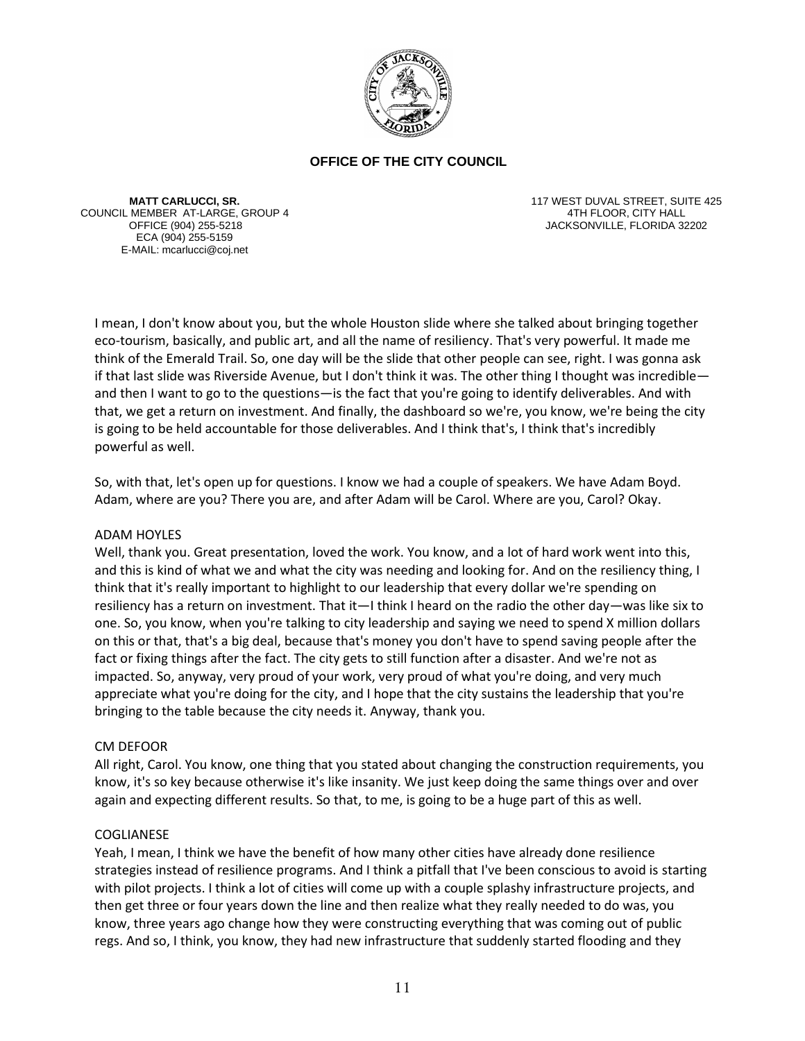

**MATT CARLUCCI, SR.** COUNCIL MEMBER AT-LARGE, GROUP 4 ECA (904) 255-5159 E-MAIL: mcarlucci@coj.net

117 WEST DUVAL STREET, SUITE 425 4TH FLOOR, CITY HALL JACKSONVILLE, FLORIDA 32202

I mean, I don't know about you, but the whole Houston slide where she talked about bringing together eco-tourism, basically, and public art, and all the name of resiliency. That's very powerful. It made me think of the Emerald Trail. So, one day will be the slide that other people can see, right. I was gonna ask if that last slide was Riverside Avenue, but I don't think it was. The other thing I thought was incredible and then I want to go to the questions—is the fact that you're going to identify deliverables. And with that, we get a return on investment. And finally, the dashboard so we're, you know, we're being the city is going to be held accountable for those deliverables. And I think that's, I think that's incredibly powerful as well.

So, with that, let's open up for questions. I know we had a couple of speakers. We have Adam Boyd. Adam, where are you? There you are, and after Adam will be Carol. Where are you, Carol? Okay.

### ADAM HOYLES

Well, thank you. Great presentation, loved the work. You know, and a lot of hard work went into this, and this is kind of what we and what the city was needing and looking for. And on the resiliency thing, I think that it's really important to highlight to our leadership that every dollar we're spending on resiliency has a return on investment. That it—I think I heard on the radio the other day—was like six to one. So, you know, when you're talking to city leadership and saying we need to spend X million dollars on this or that, that's a big deal, because that's money you don't have to spend saving people after the fact or fixing things after the fact. The city gets to still function after a disaster. And we're not as impacted. So, anyway, very proud of your work, very proud of what you're doing, and very much appreciate what you're doing for the city, and I hope that the city sustains the leadership that you're bringing to the table because the city needs it. Anyway, thank you.

### CM DEFOOR

All right, Carol. You know, one thing that you stated about changing the construction requirements, you know, it's so key because otherwise it's like insanity. We just keep doing the same things over and over again and expecting different results. So that, to me, is going to be a huge part of this as well.

### COGLIANESE

Yeah, I mean, I think we have the benefit of how many other cities have already done resilience strategies instead of resilience programs. And I think a pitfall that I've been conscious to avoid is starting with pilot projects. I think a lot of cities will come up with a couple splashy infrastructure projects, and then get three or four years down the line and then realize what they really needed to do was, you know, three years ago change how they were constructing everything that was coming out of public regs. And so, I think, you know, they had new infrastructure that suddenly started flooding and they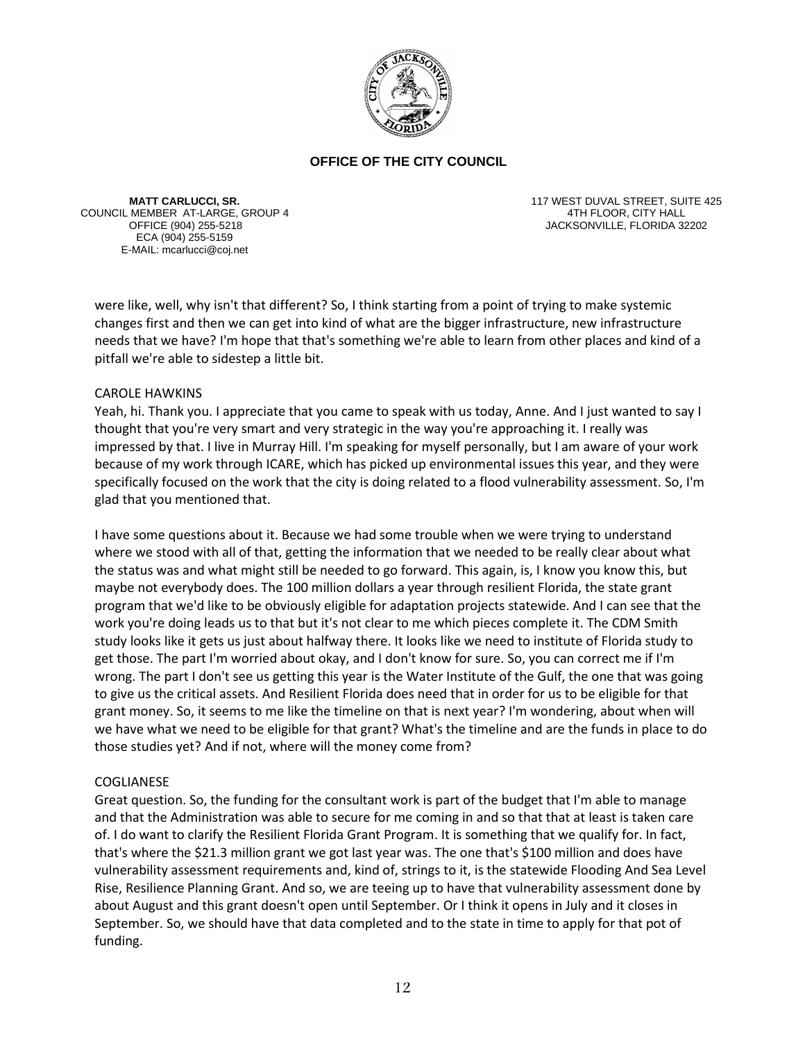

**MATT CARLUCCI, SR.** COUNCIL MEMBER AT-LARGE, GROUP 4 ECA (904) 255-5159 E-MAIL: mcarlucci@coj.net

117 WEST DUVAL STREET, SUITE 425 4TH FLOOR, CITY HALL OFFICE (904) 255-5218 JACKSONVILLE, FLORIDA 32202

were like, well, why isn't that different? So, I think starting from a point of trying to make systemic changes first and then we can get into kind of what are the bigger infrastructure, new infrastructure needs that we have? I'm hope that that's something we're able to learn from other places and kind of a pitfall we're able to sidestep a little bit.

## CAROLE HAWKINS

Yeah, hi. Thank you. I appreciate that you came to speak with us today, Anne. And I just wanted to say I thought that you're very smart and very strategic in the way you're approaching it. I really was impressed by that. I live in Murray Hill. I'm speaking for myself personally, but I am aware of your work because of my work through ICARE, which has picked up environmental issues this year, and they were specifically focused on the work that the city is doing related to a flood vulnerability assessment. So, I'm glad that you mentioned that.

I have some questions about it. Because we had some trouble when we were trying to understand where we stood with all of that, getting the information that we needed to be really clear about what the status was and what might still be needed to go forward. This again, is, I know you know this, but maybe not everybody does. The 100 million dollars a year through resilient Florida, the state grant program that we'd like to be obviously eligible for adaptation projects statewide. And I can see that the work you're doing leads us to that but it's not clear to me which pieces complete it. The CDM Smith study looks like it gets us just about halfway there. It looks like we need to institute of Florida study to get those. The part I'm worried about okay, and I don't know for sure. So, you can correct me if I'm wrong. The part I don't see us getting this year is the Water Institute of the Gulf, the one that was going to give us the critical assets. And Resilient Florida does need that in order for us to be eligible for that grant money. So, it seems to me like the timeline on that is next year? I'm wondering, about when will we have what we need to be eligible for that grant? What's the timeline and are the funds in place to do those studies yet? And if not, where will the money come from?

# COGLIANESE

Great question. So, the funding for the consultant work is part of the budget that I'm able to manage and that the Administration was able to secure for me coming in and so that that at least is taken care of. I do want to clarify the Resilient Florida Grant Program. It is something that we qualify for. In fact, that's where the \$21.3 million grant we got last year was. The one that's \$100 million and does have vulnerability assessment requirements and, kind of, strings to it, is the statewide Flooding And Sea Level Rise, Resilience Planning Grant. And so, we are teeing up to have that vulnerability assessment done by about August and this grant doesn't open until September. Or I think it opens in July and it closes in September. So, we should have that data completed and to the state in time to apply for that pot of funding.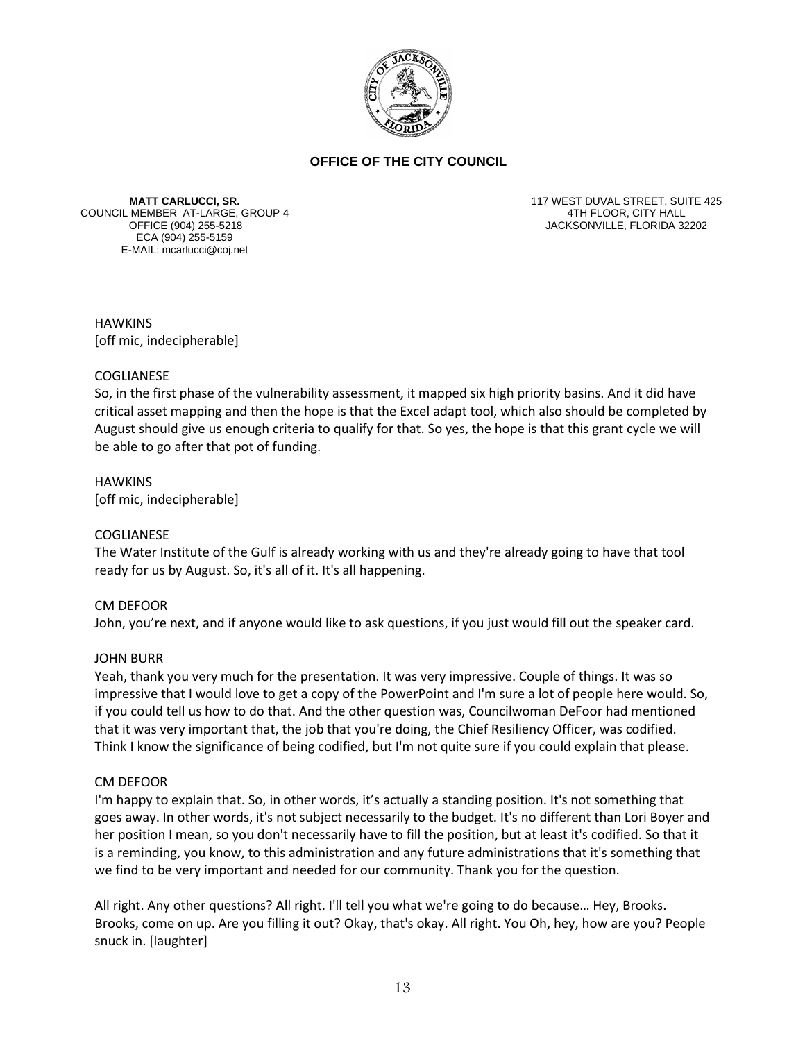

**MATT CARLUCCI, SR.** COUNCIL MEMBER AT-LARGE, GROUP 4 ECA (904) 255-5159 E-MAIL: mcarlucci@coj.net

117 WEST DUVAL STREET, SUITE 425 4TH FLOOR, CITY HALL OFFICE (904) 255-5218 JACKSONVILLE, FLORIDA 32202

**HAWKINS** [off mic, indecipherable]

### COGLIANESE

So, in the first phase of the vulnerability assessment, it mapped six high priority basins. And it did have critical asset mapping and then the hope is that the Excel adapt tool, which also should be completed by August should give us enough criteria to qualify for that. So yes, the hope is that this grant cycle we will be able to go after that pot of funding.

HAWKINS [off mic, indecipherable]

# COGLIANESE

The Water Institute of the Gulf is already working with us and they're already going to have that tool ready for us by August. So, it's all of it. It's all happening.

### CM DEFOOR

John, you're next, and if anyone would like to ask questions, if you just would fill out the speaker card.

### JOHN BURR

Yeah, thank you very much for the presentation. It was very impressive. Couple of things. It was so impressive that I would love to get a copy of the PowerPoint and I'm sure a lot of people here would. So, if you could tell us how to do that. And the other question was, Councilwoman DeFoor had mentioned that it was very important that, the job that you're doing, the Chief Resiliency Officer, was codified. Think I know the significance of being codified, but I'm not quite sure if you could explain that please.

### CM DEFOOR

I'm happy to explain that. So, in other words, it's actually a standing position. It's not something that goes away. In other words, it's not subject necessarily to the budget. It's no different than Lori Boyer and her position I mean, so you don't necessarily have to fill the position, but at least it's codified. So that it is a reminding, you know, to this administration and any future administrations that it's something that we find to be very important and needed for our community. Thank you for the question.

All right. Any other questions? All right. I'll tell you what we're going to do because… Hey, Brooks. Brooks, come on up. Are you filling it out? Okay, that's okay. All right. You Oh, hey, how are you? People snuck in. [laughter]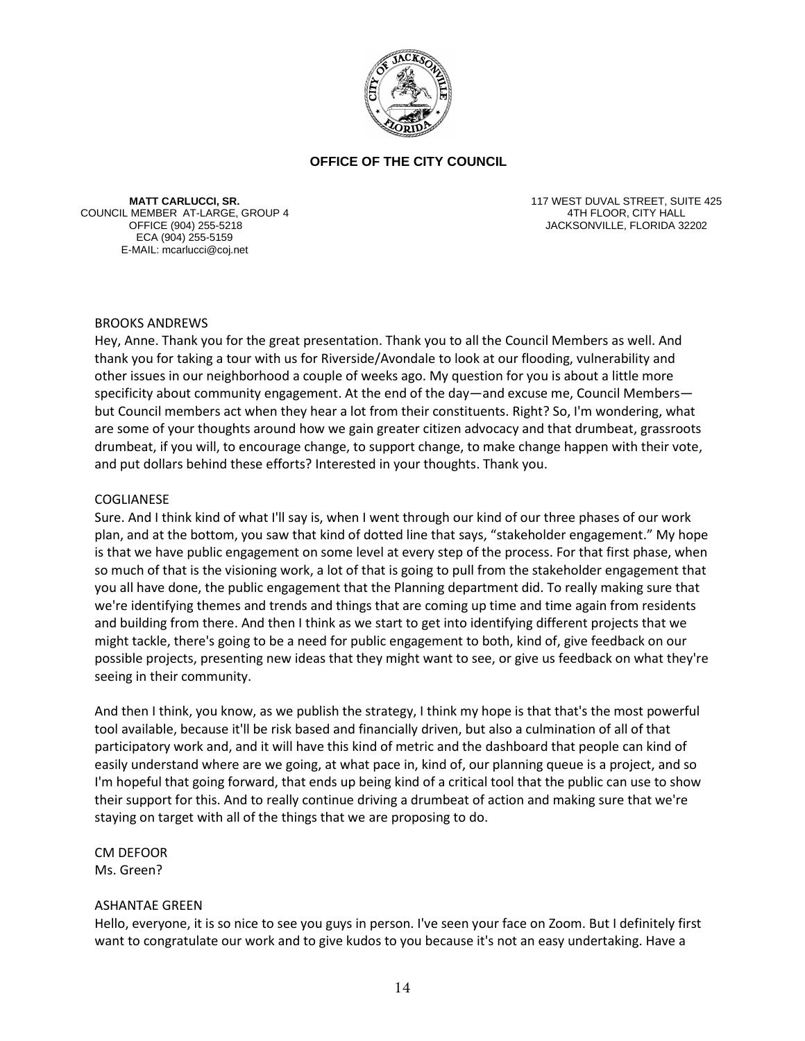

**MATT CARLUCCI, SR.** COUNCIL MEMBER AT-LARGE, GROUP 4 ECA (904) 255-5159 E-MAIL: mcarlucci@coj.net

117 WEST DUVAL STREET, SUITE 425 4TH FLOOR, CITY HALL OFFICE (904) 255-5218 JACKSONVILLE, FLORIDA 32202

## BROOKS ANDREWS

Hey, Anne. Thank you for the great presentation. Thank you to all the Council Members as well. And thank you for taking a tour with us for Riverside/Avondale to look at our flooding, vulnerability and other issues in our neighborhood a couple of weeks ago. My question for you is about a little more specificity about community engagement. At the end of the day—and excuse me, Council Members but Council members act when they hear a lot from their constituents. Right? So, I'm wondering, what are some of your thoughts around how we gain greater citizen advocacy and that drumbeat, grassroots drumbeat, if you will, to encourage change, to support change, to make change happen with their vote, and put dollars behind these efforts? Interested in your thoughts. Thank you.

### COGLIANESE

Sure. And I think kind of what I'll say is, when I went through our kind of our three phases of our work plan, and at the bottom, you saw that kind of dotted line that says, "stakeholder engagement." My hope is that we have public engagement on some level at every step of the process. For that first phase, when so much of that is the visioning work, a lot of that is going to pull from the stakeholder engagement that you all have done, the public engagement that the Planning department did. To really making sure that we're identifying themes and trends and things that are coming up time and time again from residents and building from there. And then I think as we start to get into identifying different projects that we might tackle, there's going to be a need for public engagement to both, kind of, give feedback on our possible projects, presenting new ideas that they might want to see, or give us feedback on what they're seeing in their community.

And then I think, you know, as we publish the strategy, I think my hope is that that's the most powerful tool available, because it'll be risk based and financially driven, but also a culmination of all of that participatory work and, and it will have this kind of metric and the dashboard that people can kind of easily understand where are we going, at what pace in, kind of, our planning queue is a project, and so I'm hopeful that going forward, that ends up being kind of a critical tool that the public can use to show their support for this. And to really continue driving a drumbeat of action and making sure that we're staying on target with all of the things that we are proposing to do.

CM DEFOOR Ms. Green?

# ASHANTAE GREEN

Hello, everyone, it is so nice to see you guys in person. I've seen your face on Zoom. But I definitely first want to congratulate our work and to give kudos to you because it's not an easy undertaking. Have a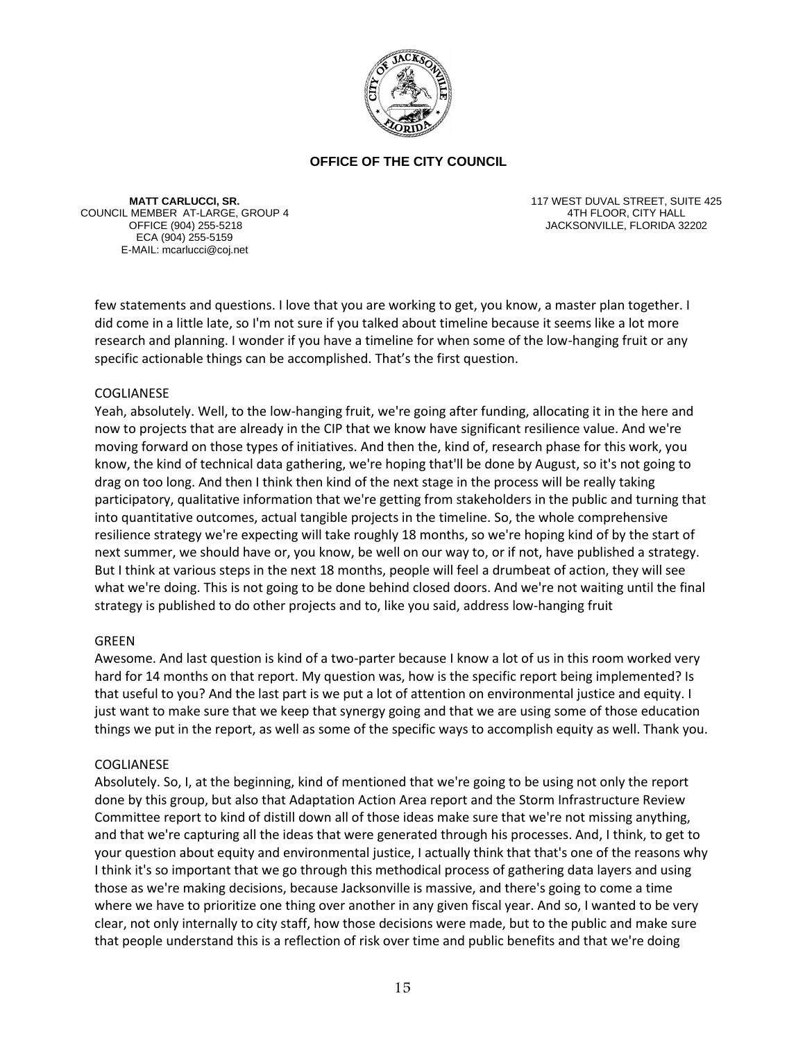

**MATT CARLUCCI, SR.** COUNCIL MEMBER AT-LARGE, GROUP 4 ECA (904) 255-5159 E-MAIL: mcarlucci@coj.net

117 WEST DUVAL STREET, SUITE 425 4TH FLOOR, CITY HALL OFFICE (904) 255-5218 JACKSONVILLE, FLORIDA 32202

few statements and questions. I love that you are working to get, you know, a master plan together. I did come in a little late, so I'm not sure if you talked about timeline because it seems like a lot more research and planning. I wonder if you have a timeline for when some of the low-hanging fruit or any specific actionable things can be accomplished. That's the first question.

## COGLIANESE

Yeah, absolutely. Well, to the low-hanging fruit, we're going after funding, allocating it in the here and now to projects that are already in the CIP that we know have significant resilience value. And we're moving forward on those types of initiatives. And then the, kind of, research phase for this work, you know, the kind of technical data gathering, we're hoping that'll be done by August, so it's not going to drag on too long. And then I think then kind of the next stage in the process will be really taking participatory, qualitative information that we're getting from stakeholders in the public and turning that into quantitative outcomes, actual tangible projects in the timeline. So, the whole comprehensive resilience strategy we're expecting will take roughly 18 months, so we're hoping kind of by the start of next summer, we should have or, you know, be well on our way to, or if not, have published a strategy. But I think at various steps in the next 18 months, people will feel a drumbeat of action, they will see what we're doing. This is not going to be done behind closed doors. And we're not waiting until the final strategy is published to do other projects and to, like you said, address low-hanging fruit

### GREEN

Awesome. And last question is kind of a two-parter because I know a lot of us in this room worked very hard for 14 months on that report. My question was, how is the specific report being implemented? Is that useful to you? And the last part is we put a lot of attention on environmental justice and equity. I just want to make sure that we keep that synergy going and that we are using some of those education things we put in the report, as well as some of the specific ways to accomplish equity as well. Thank you.

### COGLIANESE

Absolutely. So, I, at the beginning, kind of mentioned that we're going to be using not only the report done by this group, but also that Adaptation Action Area report and the Storm Infrastructure Review Committee report to kind of distill down all of those ideas make sure that we're not missing anything, and that we're capturing all the ideas that were generated through his processes. And, I think, to get to your question about equity and environmental justice, I actually think that that's one of the reasons why I think it's so important that we go through this methodical process of gathering data layers and using those as we're making decisions, because Jacksonville is massive, and there's going to come a time where we have to prioritize one thing over another in any given fiscal year. And so, I wanted to be very clear, not only internally to city staff, how those decisions were made, but to the public and make sure that people understand this is a reflection of risk over time and public benefits and that we're doing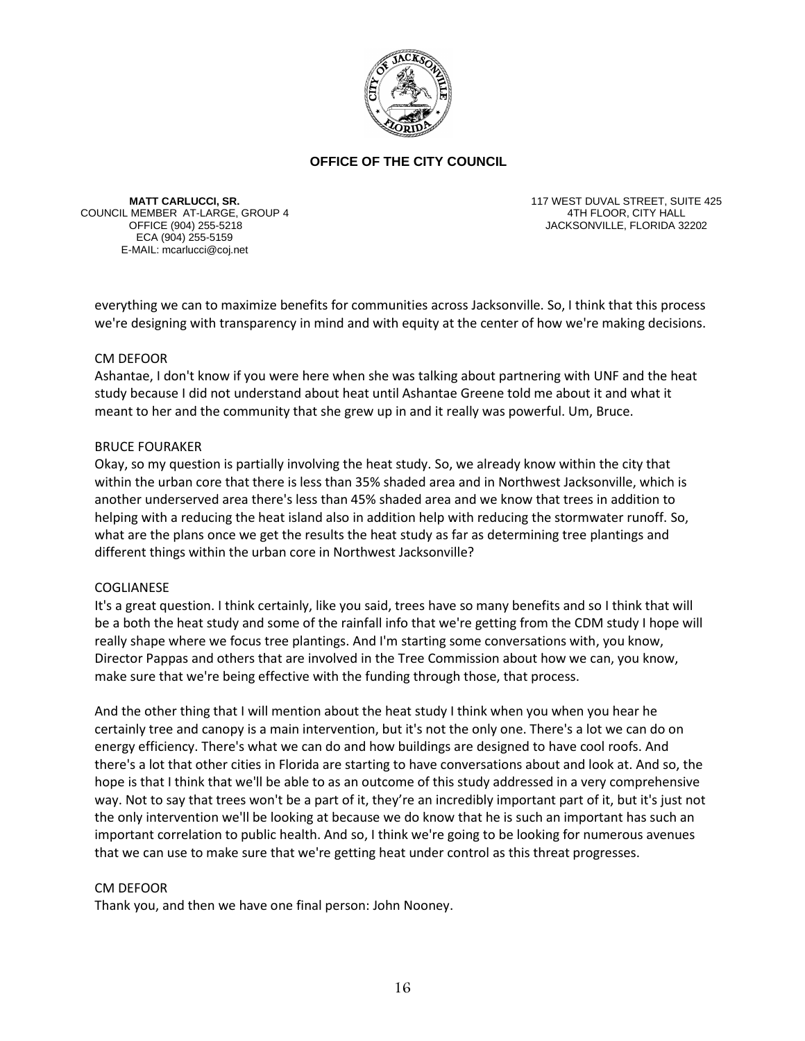

**MATT CARLUCCI, SR.** COUNCIL MEMBER AT-LARGE, GROUP 4 ECA (904) 255-5159 E-MAIL: mcarlucci@coj.net

117 WEST DUVAL STREET, SUITE 425 4TH FLOOR, CITY HALL OFFICE (904) 255-5218 JACKSONVILLE, FLORIDA 32202

everything we can to maximize benefits for communities across Jacksonville. So, I think that this process we're designing with transparency in mind and with equity at the center of how we're making decisions.

## CM DEFOOR

Ashantae, I don't know if you were here when she was talking about partnering with UNF and the heat study because I did not understand about heat until Ashantae Greene told me about it and what it meant to her and the community that she grew up in and it really was powerful. Um, Bruce.

### BRUCE FOURAKER

Okay, so my question is partially involving the heat study. So, we already know within the city that within the urban core that there is less than 35% shaded area and in Northwest Jacksonville, which is another underserved area there's less than 45% shaded area and we know that trees in addition to helping with a reducing the heat island also in addition help with reducing the stormwater runoff. So, what are the plans once we get the results the heat study as far as determining tree plantings and different things within the urban core in Northwest Jacksonville?

### COGLIANESE

It's a great question. I think certainly, like you said, trees have so many benefits and so I think that will be a both the heat study and some of the rainfall info that we're getting from the CDM study I hope will really shape where we focus tree plantings. And I'm starting some conversations with, you know, Director Pappas and others that are involved in the Tree Commission about how we can, you know, make sure that we're being effective with the funding through those, that process.

And the other thing that I will mention about the heat study I think when you when you hear he certainly tree and canopy is a main intervention, but it's not the only one. There's a lot we can do on energy efficiency. There's what we can do and how buildings are designed to have cool roofs. And there's a lot that other cities in Florida are starting to have conversations about and look at. And so, the hope is that I think that we'll be able to as an outcome of this study addressed in a very comprehensive way. Not to say that trees won't be a part of it, they're an incredibly important part of it, but it's just not the only intervention we'll be looking at because we do know that he is such an important has such an important correlation to public health. And so, I think we're going to be looking for numerous avenues that we can use to make sure that we're getting heat under control as this threat progresses.

### CM DEFOOR

Thank you, and then we have one final person: John Nooney.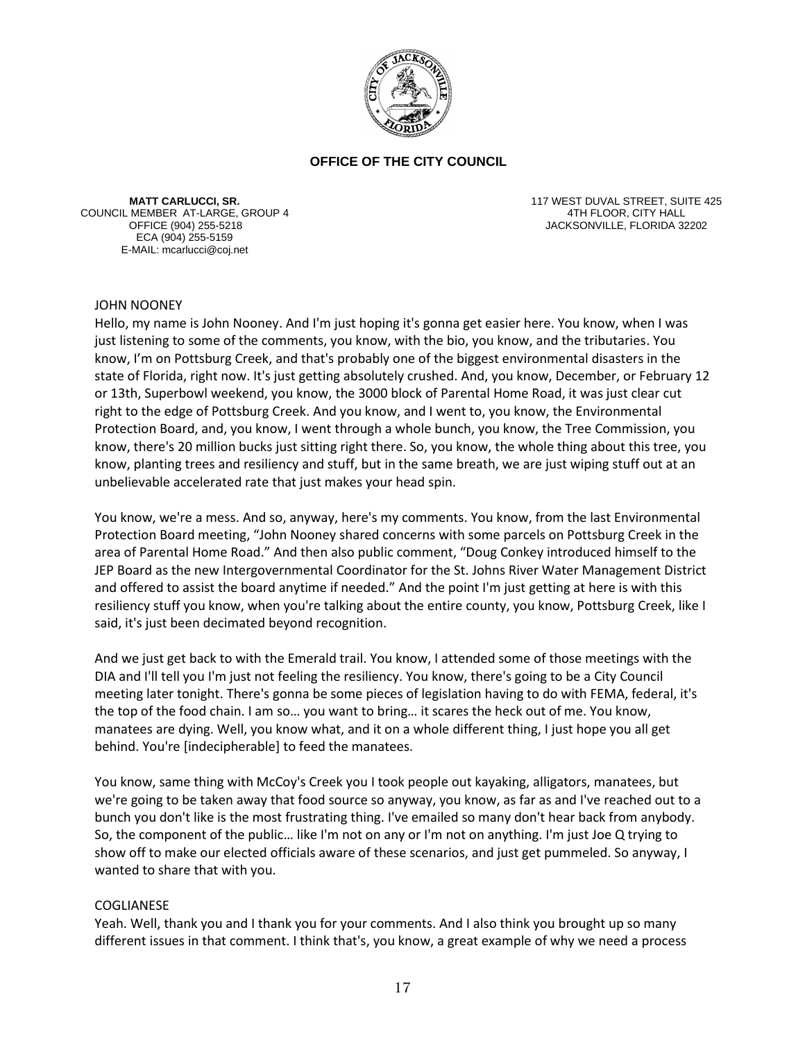

**MATT CARLUCCI, SR.** COUNCIL MEMBER AT-LARGE, GROUP 4 ECA (904) 255-5159 E-MAIL: mcarlucci@coj.net

117 WEST DUVAL STREET, SUITE 425 4TH FLOOR, CITY HALL OFFICE (904) 255-5218 JACKSONVILLE, FLORIDA 32202

## JOHN NOONEY

Hello, my name is John Nooney. And I'm just hoping it's gonna get easier here. You know, when I was just listening to some of the comments, you know, with the bio, you know, and the tributaries. You know, I'm on Pottsburg Creek, and that's probably one of the biggest environmental disasters in the state of Florida, right now. It's just getting absolutely crushed. And, you know, December, or February 12 or 13th, Superbowl weekend, you know, the 3000 block of Parental Home Road, it was just clear cut right to the edge of Pottsburg Creek. And you know, and I went to, you know, the Environmental Protection Board, and, you know, I went through a whole bunch, you know, the Tree Commission, you know, there's 20 million bucks just sitting right there. So, you know, the whole thing about this tree, you know, planting trees and resiliency and stuff, but in the same breath, we are just wiping stuff out at an unbelievable accelerated rate that just makes your head spin.

You know, we're a mess. And so, anyway, here's my comments. You know, from the last Environmental Protection Board meeting, "John Nooney shared concerns with some parcels on Pottsburg Creek in the area of Parental Home Road." And then also public comment, "Doug Conkey introduced himself to the JEP Board as the new Intergovernmental Coordinator for the St. Johns River Water Management District and offered to assist the board anytime if needed." And the point I'm just getting at here is with this resiliency stuff you know, when you're talking about the entire county, you know, Pottsburg Creek, like I said, it's just been decimated beyond recognition.

And we just get back to with the Emerald trail. You know, I attended some of those meetings with the DIA and I'll tell you I'm just not feeling the resiliency. You know, there's going to be a City Council meeting later tonight. There's gonna be some pieces of legislation having to do with FEMA, federal, it's the top of the food chain. I am so… you want to bring… it scares the heck out of me. You know, manatees are dying. Well, you know what, and it on a whole different thing, I just hope you all get behind. You're [indecipherable] to feed the manatees.

You know, same thing with McCoy's Creek you I took people out kayaking, alligators, manatees, but we're going to be taken away that food source so anyway, you know, as far as and I've reached out to a bunch you don't like is the most frustrating thing. I've emailed so many don't hear back from anybody. So, the component of the public… like I'm not on any or I'm not on anything. I'm just Joe Q trying to show off to make our elected officials aware of these scenarios, and just get pummeled. So anyway, I wanted to share that with you.

### COGLIANESE

Yeah. Well, thank you and I thank you for your comments. And I also think you brought up so many different issues in that comment. I think that's, you know, a great example of why we need a process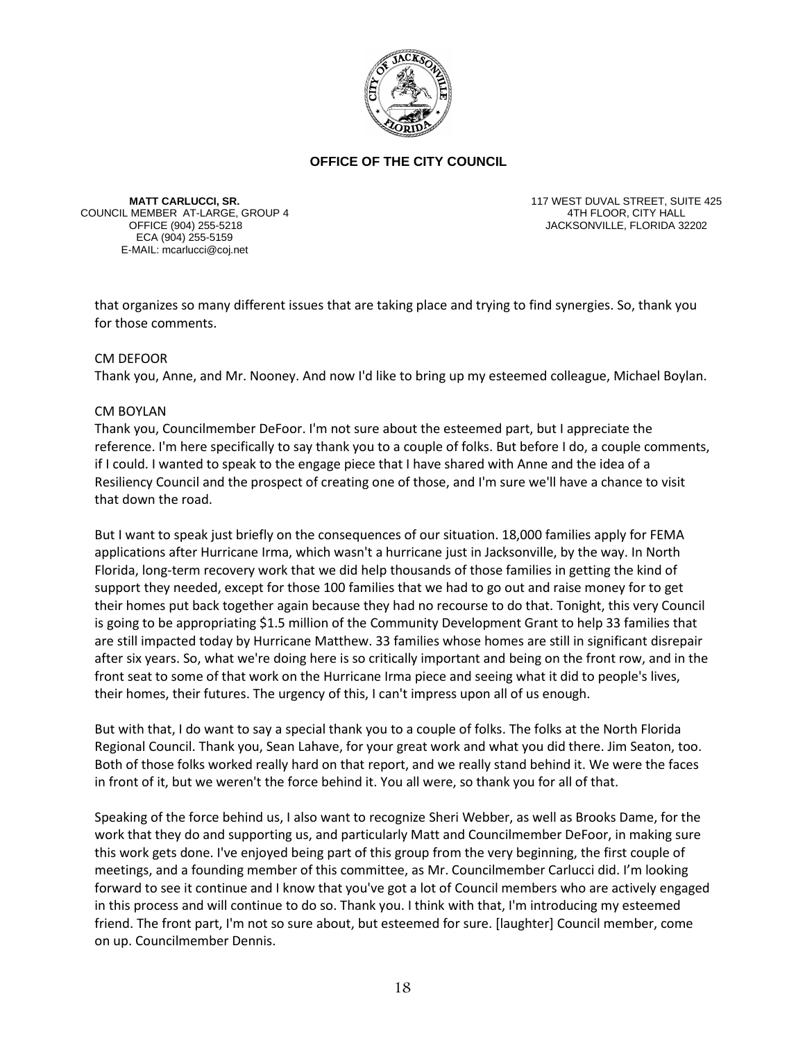

**MATT CARLUCCI, SR.** COUNCIL MEMBER AT-LARGE, GROUP 4 ECA (904) 255-5159 E-MAIL: mcarlucci@coj.net

117 WEST DUVAL STREET, SUITE 425 4TH FLOOR, CITY HALL JACKSONVILLE, FLORIDA 32202

that organizes so many different issues that are taking place and trying to find synergies. So, thank you for those comments.

### CM DEFOOR

Thank you, Anne, and Mr. Nooney. And now I'd like to bring up my esteemed colleague, Michael Boylan.

### CM BOYLAN

Thank you, Councilmember DeFoor. I'm not sure about the esteemed part, but I appreciate the reference. I'm here specifically to say thank you to a couple of folks. But before I do, a couple comments, if I could. I wanted to speak to the engage piece that I have shared with Anne and the idea of a Resiliency Council and the prospect of creating one of those, and I'm sure we'll have a chance to visit that down the road.

But I want to speak just briefly on the consequences of our situation. 18,000 families apply for FEMA applications after Hurricane Irma, which wasn't a hurricane just in Jacksonville, by the way. In North Florida, long-term recovery work that we did help thousands of those families in getting the kind of support they needed, except for those 100 families that we had to go out and raise money for to get their homes put back together again because they had no recourse to do that. Tonight, this very Council is going to be appropriating \$1.5 million of the Community Development Grant to help 33 families that are still impacted today by Hurricane Matthew. 33 families whose homes are still in significant disrepair after six years. So, what we're doing here is so critically important and being on the front row, and in the front seat to some of that work on the Hurricane Irma piece and seeing what it did to people's lives, their homes, their futures. The urgency of this, I can't impress upon all of us enough.

But with that, I do want to say a special thank you to a couple of folks. The folks at the North Florida Regional Council. Thank you, Sean Lahave, for your great work and what you did there. Jim Seaton, too. Both of those folks worked really hard on that report, and we really stand behind it. We were the faces in front of it, but we weren't the force behind it. You all were, so thank you for all of that.

Speaking of the force behind us, I also want to recognize Sheri Webber, as well as Brooks Dame, for the work that they do and supporting us, and particularly Matt and Councilmember DeFoor, in making sure this work gets done. I've enjoyed being part of this group from the very beginning, the first couple of meetings, and a founding member of this committee, as Mr. Councilmember Carlucci did. I'm looking forward to see it continue and I know that you've got a lot of Council members who are actively engaged in this process and will continue to do so. Thank you. I think with that, I'm introducing my esteemed friend. The front part, I'm not so sure about, but esteemed for sure. [laughter] Council member, come on up. Councilmember Dennis.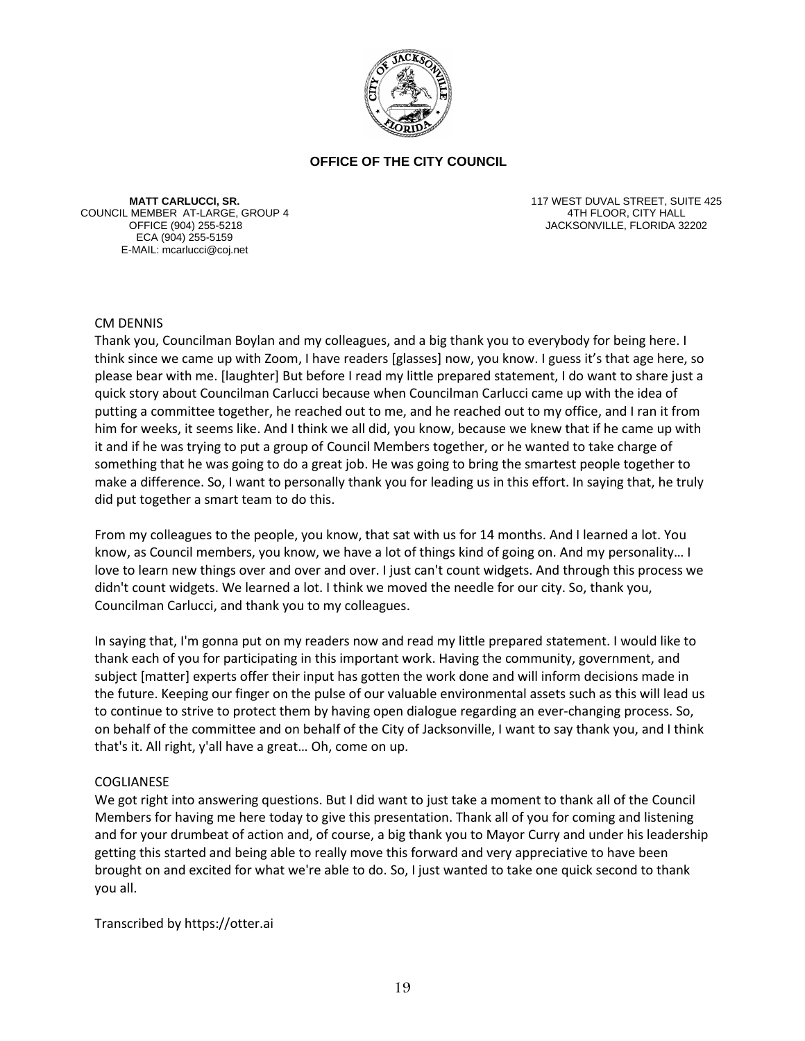

**MATT CARLUCCI, SR.** COUNCIL MEMBER AT-LARGE, GROUP 4 ECA (904) 255-5159 E-MAIL: mcarlucci@coj.net

117 WEST DUVAL STREET, SUITE 425 4TH FLOOR, CITY HALL JACKSONVILLE, FLORIDA 32202

### CM DENNIS

Thank you, Councilman Boylan and my colleagues, and a big thank you to everybody for being here. I think since we came up with Zoom, I have readers [glasses] now, you know. I guess it's that age here, so please bear with me. [laughter] But before I read my little prepared statement, I do want to share just a quick story about Councilman Carlucci because when Councilman Carlucci came up with the idea of putting a committee together, he reached out to me, and he reached out to my office, and I ran it from him for weeks, it seems like. And I think we all did, you know, because we knew that if he came up with it and if he was trying to put a group of Council Members together, or he wanted to take charge of something that he was going to do a great job. He was going to bring the smartest people together to make a difference. So, I want to personally thank you for leading us in this effort. In saying that, he truly did put together a smart team to do this.

From my colleagues to the people, you know, that sat with us for 14 months. And I learned a lot. You know, as Council members, you know, we have a lot of things kind of going on. And my personality… I love to learn new things over and over and over. I just can't count widgets. And through this process we didn't count widgets. We learned a lot. I think we moved the needle for our city. So, thank you, Councilman Carlucci, and thank you to my colleagues.

In saying that, I'm gonna put on my readers now and read my little prepared statement. I would like to thank each of you for participating in this important work. Having the community, government, and subject [matter] experts offer their input has gotten the work done and will inform decisions made in the future. Keeping our finger on the pulse of our valuable environmental assets such as this will lead us to continue to strive to protect them by having open dialogue regarding an ever-changing process. So, on behalf of the committee and on behalf of the City of Jacksonville, I want to say thank you, and I think that's it. All right, y'all have a great… Oh, come on up.

### COGLIANESE

We got right into answering questions. But I did want to just take a moment to thank all of the Council Members for having me here today to give this presentation. Thank all of you for coming and listening and for your drumbeat of action and, of course, a big thank you to Mayor Curry and under his leadership getting this started and being able to really move this forward and very appreciative to have been brought on and excited for what we're able to do. So, I just wanted to take one quick second to thank you all.

Transcribed by https://otter.ai